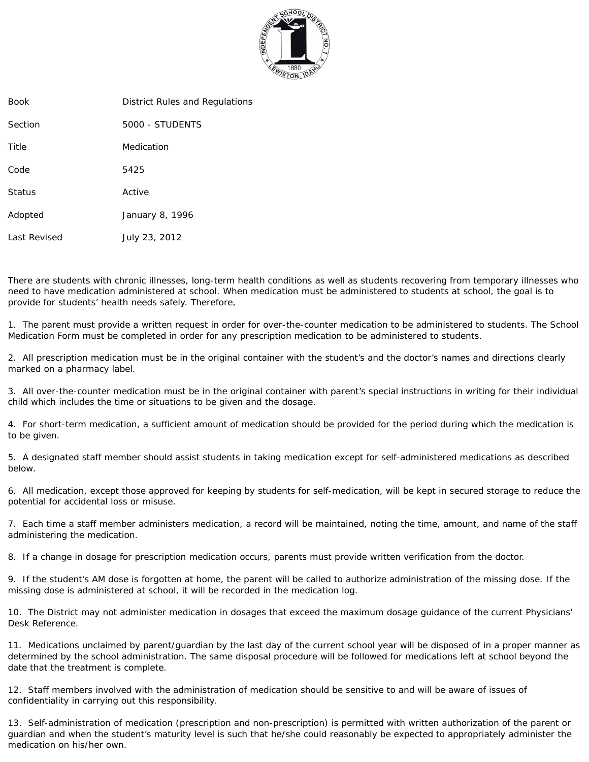

| Book         | District Rules and Regulations |
|--------------|--------------------------------|
| Section      | 5000 - STUDENTS                |
| Title        | Medication                     |
| Code         | 5425                           |
| Status       | Active                         |
| Adopted      | January 8, 1996                |
| Last Revised | July 23, 2012                  |
|              |                                |

There are students with chronic illnesses, long-term health conditions as well as students recovering from temporary illnesses who need to have medication administered at school. When medication must be administered to students at school, the goal is to provide for students' health needs safely. Therefore,

1. The parent must provide a written request in order for over-the-counter medication to be administered to students. The School Medication Form must be completed in order for any prescription medication to be administered to students.

2. All prescription medication must be in the original container with the student's and the doctor's names and directions clearly marked on a pharmacy label.

3. All over-the-counter medication must be in the original container with parent's special instructions in writing for their individual child which includes the time or situations to be given and the dosage.

4. For short-term medication, a sufficient amount of medication should be provided for the period during which the medication is to be given.

5. A designated staff member should assist students in taking medication except for self-administered medications as described below.

6. All medication, except those approved for keeping by students for self-medication, will be kept in secured storage to reduce the potential for accidental loss or misuse.

7. Each time a staff member administers medication, a record will be maintained, noting the time, amount, and name of the staff administering the medication.

8. If a change in dosage for prescription medication occurs, parents must provide written verification from the doctor.

9. If the student's AM dose is forgotten at home, the parent will be called to authorize administration of the missing dose. If the missing dose is administered at school, it will be recorded in the medication log.

10. The District may not administer medication in dosages that exceed the maximum dosage guidance of the current Physicians' Desk Reference.

11. Medications unclaimed by parent/guardian by the last day of the current school year will be disposed of in a proper manner as determined by the school administration. The same disposal procedure will be followed for medications left at school beyond the date that the treatment is complete.

12. Staff members involved with the administration of medication should be sensitive to and will be aware of issues of confidentiality in carrying out this responsibility.

13. Self-administration of medication (prescription and non-prescription) is permitted with written authorization of the parent or guardian and when the student's maturity level is such that he/she could reasonably be expected to appropriately administer the medication on his/her own.